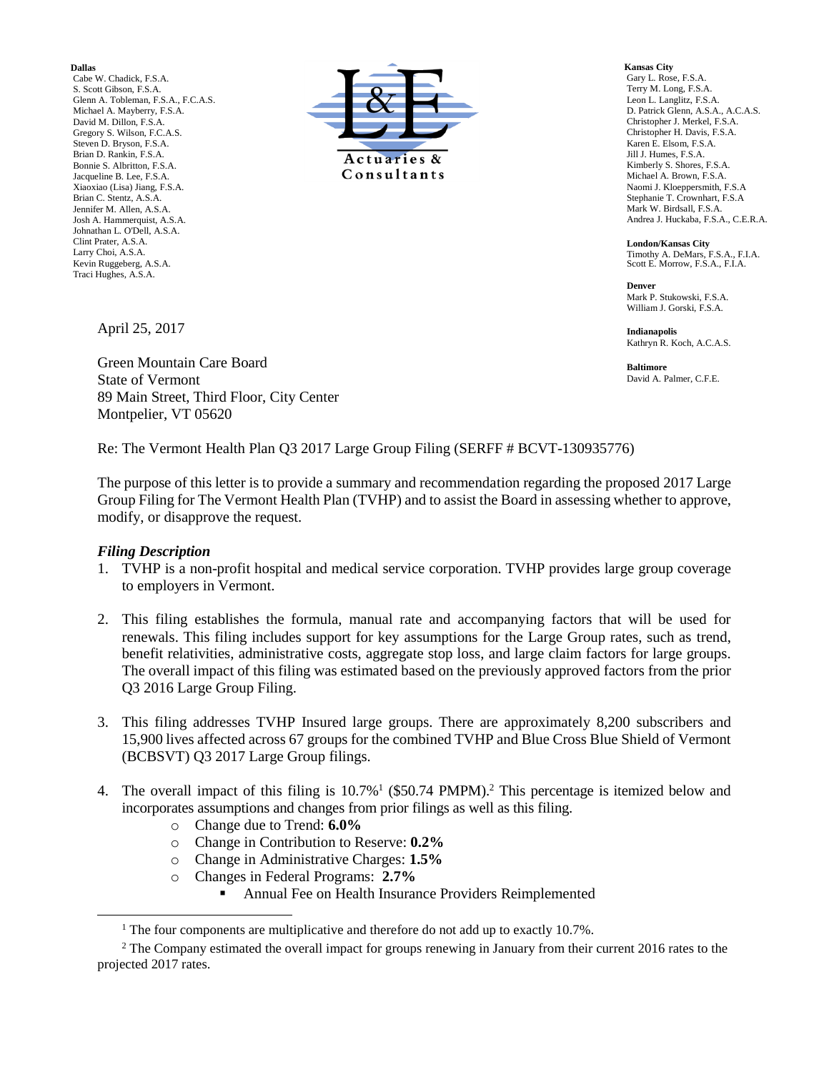**Dallas**

Cabe W. Chadick, F.S.A. S. Scott Gibson, F.S.A. Glenn A. Tobleman, F.S.A., F.C.A.S. Michael A. Mayberry, F.S.A. David M. Dillon, F.S.A. Gregory S. Wilson, F.C.A.S. Steven D. Bryson, F.S.A. Brian D. Rankin, F.S.A. Bonnie S. Albritton, F.S.A. Jacqueline B. Lee, F.S.A. Xiaoxiao (Lisa) Jiang, F.S.A. Brian C. Stentz, A.S.A. Jennifer M. Allen, A.S.A. Josh A. Hammerquist, A.S.A. Johnathan L. O'Dell, A.S.A. Clint Prater, A.S.A. Larry Choi, A.S.A. Kevin Ruggeberg, A.S.A. Traci Hughes, A.S.A.



**Kansas City** Gary L. Rose, F.S.A. Terry M. Long, F.S.A. Leon L. Langlitz, F.S.A. D. Patrick Glenn, A.S.A., A.C.A.S. Christopher J. Merkel, F.S.A. Christopher H. Davis, F.S.A. Karen E. Elsom, F.S.A. Jill J. Humes, F.S.A. Kimberly S. Shores, F.S.A. Michael A. Brown, F.S.A. Naomi J. Kloeppersmith, F.S.A Stephanie T. Crownhart, F.S.A Mark W. Birdsall, F.S.A. Andrea J. Huckaba, F.S.A., C.E.R.A.

**London/Kansas City** Timothy A. DeMars, F.S.A., F.I.A. Scott E. Morrow, F.S.A., F.I.A.

**Denver** Mark P. Stukowski, F.S.A. William J. Gorski, F.S.A.

**Indianapolis** Kathryn R. Koch, A.C.A.S.

**Baltimore** David A. Palmer, C.F.E.

April 25, 2017

Green Mountain Care Board State of Vermont 89 Main Street, Third Floor, City Center Montpelier, VT 05620

Re: The Vermont Health Plan Q3 2017 Large Group Filing (SERFF # BCVT-130935776)

The purpose of this letter is to provide a summary and recommendation regarding the proposed 2017 Large Group Filing for The Vermont Health Plan (TVHP) and to assist the Board in assessing whether to approve, modify, or disapprove the request.

#### *Filing Description*

 $\overline{\phantom{a}}$ 

- 1. TVHP is a non-profit hospital and medical service corporation. TVHP provides large group coverage to employers in Vermont.
- 2. This filing establishes the formula, manual rate and accompanying factors that will be used for renewals. This filing includes support for key assumptions for the Large Group rates, such as trend, benefit relativities, administrative costs, aggregate stop loss, and large claim factors for large groups. The overall impact of this filing was estimated based on the previously approved factors from the prior Q3 2016 Large Group Filing.
- 3. This filing addresses TVHP Insured large groups. There are approximately 8,200 subscribers and 15,900 lives affected across 67 groups for the combined TVHP and Blue Cross Blue Shield of Vermont (BCBSVT) Q3 2017 Large Group filings.
- 4. The overall impact of this filing is  $10.7\%$ <sup>1</sup> (\$50.74 PMPM).<sup>2</sup> This percentage is itemized below and incorporates assumptions and changes from prior filings as well as this filing.
	- o Change due to Trend: **6.0%**
	- o Change in Contribution to Reserve: **0.2%**
	- o Change in Administrative Charges: **1.5%**
	- o Changes in Federal Programs: **2.7%**
		- Annual Fee on Health Insurance Providers Reimplemented

<sup>&</sup>lt;sup>1</sup> The four components are multiplicative and therefore do not add up to exactly 10.7%.

<sup>&</sup>lt;sup>2</sup> The Company estimated the overall impact for groups renewing in January from their current 2016 rates to the projected 2017 rates.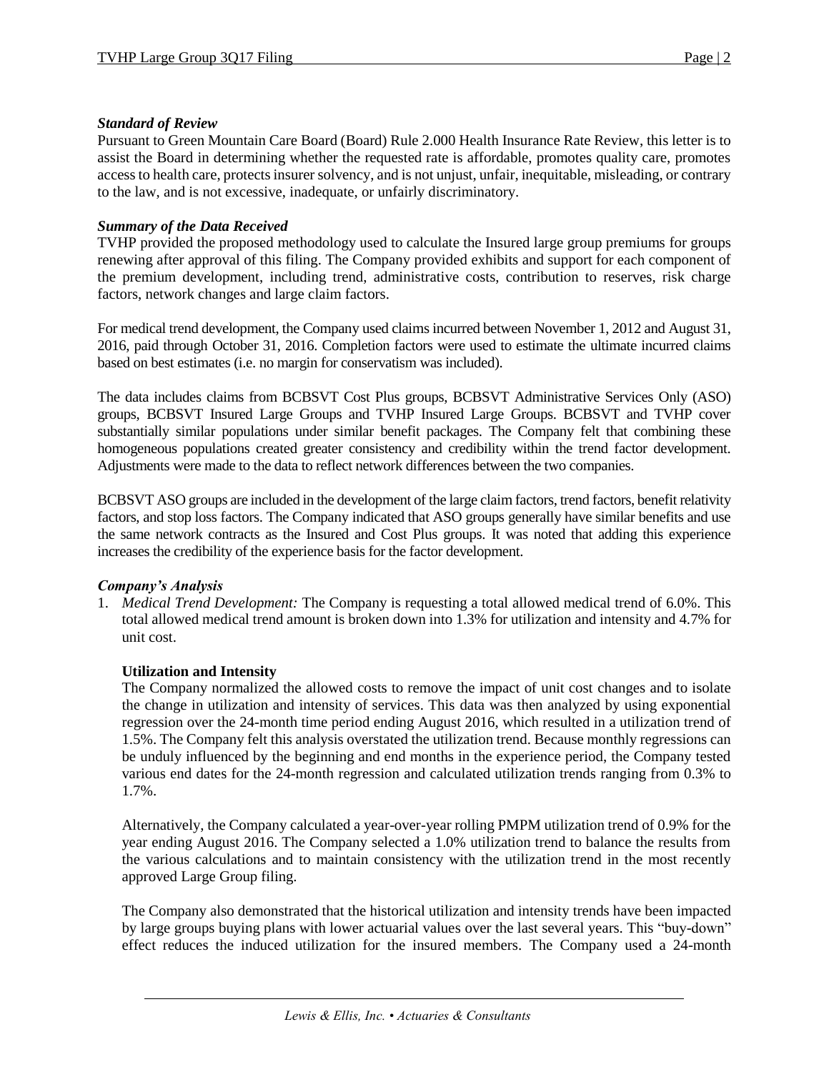## *Standard of Review*

Pursuant to Green Mountain Care Board (Board) Rule 2.000 Health Insurance Rate Review, this letter is to assist the Board in determining whether the requested rate is affordable, promotes quality care, promotes access to health care, protects insurer solvency, and is not unjust, unfair, inequitable, misleading, or contrary to the law, and is not excessive, inadequate, or unfairly discriminatory.

### *Summary of the Data Received*

TVHP provided the proposed methodology used to calculate the Insured large group premiums for groups renewing after approval of this filing. The Company provided exhibits and support for each component of the premium development, including trend, administrative costs, contribution to reserves, risk charge factors, network changes and large claim factors.

For medical trend development, the Company used claims incurred between November 1, 2012 and August 31, 2016, paid through October 31, 2016. Completion factors were used to estimate the ultimate incurred claims based on best estimates (i.e. no margin for conservatism was included).

The data includes claims from BCBSVT Cost Plus groups, BCBSVT Administrative Services Only (ASO) groups, BCBSVT Insured Large Groups and TVHP Insured Large Groups. BCBSVT and TVHP cover substantially similar populations under similar benefit packages. The Company felt that combining these homogeneous populations created greater consistency and credibility within the trend factor development. Adjustments were made to the data to reflect network differences between the two companies.

BCBSVT ASO groups are included in the development of the large claim factors, trend factors, benefit relativity factors, and stop loss factors. The Company indicated that ASO groups generally have similar benefits and use the same network contracts as the Insured and Cost Plus groups. It was noted that adding this experience increases the credibility of the experience basis for the factor development.

#### *Company's Analysis*

1. *Medical Trend Development:* The Company is requesting a total allowed medical trend of 6.0%. This total allowed medical trend amount is broken down into 1.3% for utilization and intensity and 4.7% for unit cost.

# **Utilization and Intensity**

The Company normalized the allowed costs to remove the impact of unit cost changes and to isolate the change in utilization and intensity of services. This data was then analyzed by using exponential regression over the 24-month time period ending August 2016, which resulted in a utilization trend of 1.5%. The Company felt this analysis overstated the utilization trend. Because monthly regressions can be unduly influenced by the beginning and end months in the experience period, the Company tested various end dates for the 24-month regression and calculated utilization trends ranging from 0.3% to 1.7%.

Alternatively, the Company calculated a year-over-year rolling PMPM utilization trend of 0.9% for the year ending August 2016. The Company selected a 1.0% utilization trend to balance the results from the various calculations and to maintain consistency with the utilization trend in the most recently approved Large Group filing.

The Company also demonstrated that the historical utilization and intensity trends have been impacted by large groups buying plans with lower actuarial values over the last several years. This "buy-down" effect reduces the induced utilization for the insured members. The Company used a 24-month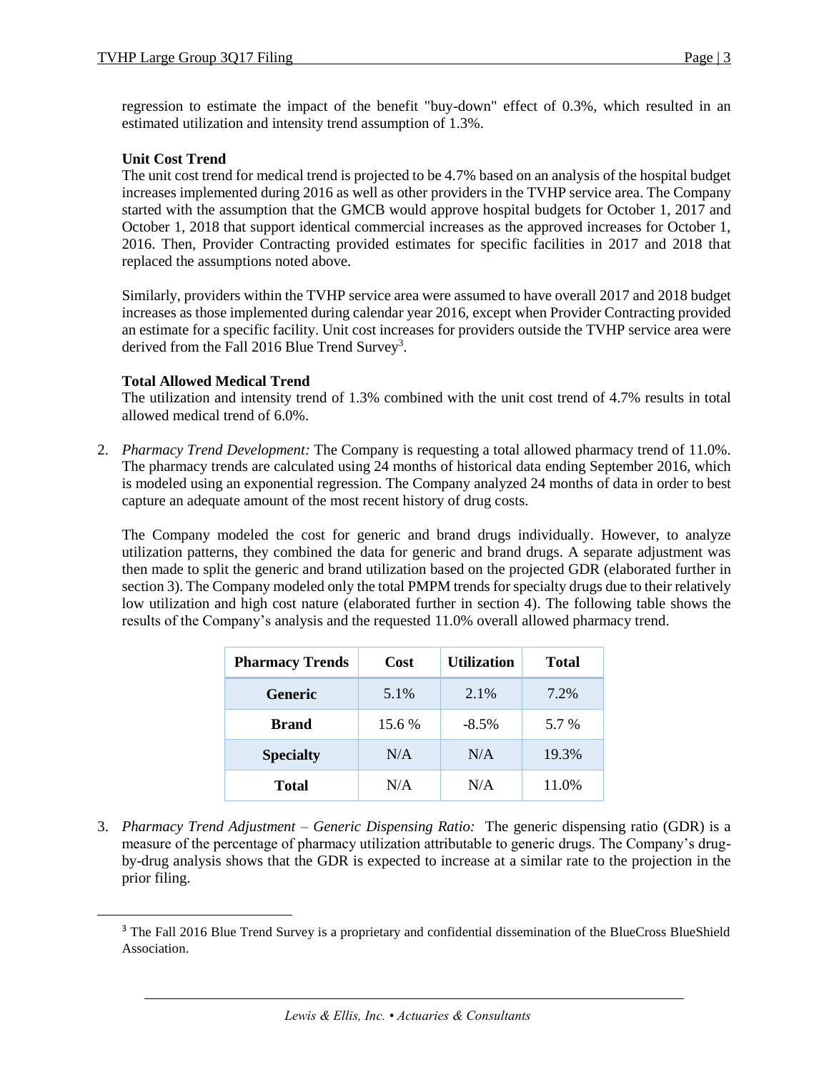regression to estimate the impact of the benefit "buy-down" effect of 0.3%, which resulted in an estimated utilization and intensity trend assumption of 1.3%.

# **Unit Cost Trend**

The unit cost trend for medical trend is projected to be 4.7% based on an analysis of the hospital budget increases implemented during 2016 as well as other providers in the TVHP service area. The Company started with the assumption that the GMCB would approve hospital budgets for October 1, 2017 and October 1, 2018 that support identical commercial increases as the approved increases for October 1, 2016. Then, Provider Contracting provided estimates for specific facilities in 2017 and 2018 that replaced the assumptions noted above.

Similarly, providers within the TVHP service area were assumed to have overall 2017 and 2018 budget increases as those implemented during calendar year 2016, except when Provider Contracting provided an estimate for a specific facility. Unit cost increases for providers outside the TVHP service area were derived from the Fall 2016 Blue Trend Survey<sup>3</sup>.

### **Total Allowed Medical Trend**

 $\overline{\phantom{a}}$ 

The utilization and intensity trend of 1.3% combined with the unit cost trend of 4.7% results in total allowed medical trend of 6.0%.

2. *Pharmacy Trend Development:* The Company is requesting a total allowed pharmacy trend of 11.0%. The pharmacy trends are calculated using 24 months of historical data ending September 2016, which is modeled using an exponential regression. The Company analyzed 24 months of data in order to best capture an adequate amount of the most recent history of drug costs.

The Company modeled the cost for generic and brand drugs individually. However, to analyze utilization patterns, they combined the data for generic and brand drugs. A separate adjustment was then made to split the generic and brand utilization based on the projected GDR (elaborated further in section 3). The Company modeled only the total PMPM trends for specialty drugs due to their relatively low utilization and high cost nature (elaborated further in section 4). The following table shows the results of the Company's analysis and the requested 11.0% overall allowed pharmacy trend.

| <b>Pharmacy Trends</b> | Cost   | <b>Utilization</b> | <b>Total</b> |
|------------------------|--------|--------------------|--------------|
| <b>Generic</b>         | 5.1%   | 2.1%               | 7.2%         |
| <b>Brand</b>           | 15.6 % | $-8.5\%$           | 5.7 %        |
| <b>Specialty</b>       | N/A    | N/A                | 19.3%        |
| <b>Total</b>           | N/A    | N/A                | 11.0%        |

3. *Pharmacy Trend Adjustment – Generic Dispensing Ratio:* The generic dispensing ratio (GDR) is a measure of the percentage of pharmacy utilization attributable to generic drugs. The Company's drugby-drug analysis shows that the GDR is expected to increase at a similar rate to the projection in the prior filing.

<sup>&</sup>lt;sup>3</sup> The Fall 2016 Blue Trend Survey is a proprietary and confidential dissemination of the BlueCross BlueShield Association.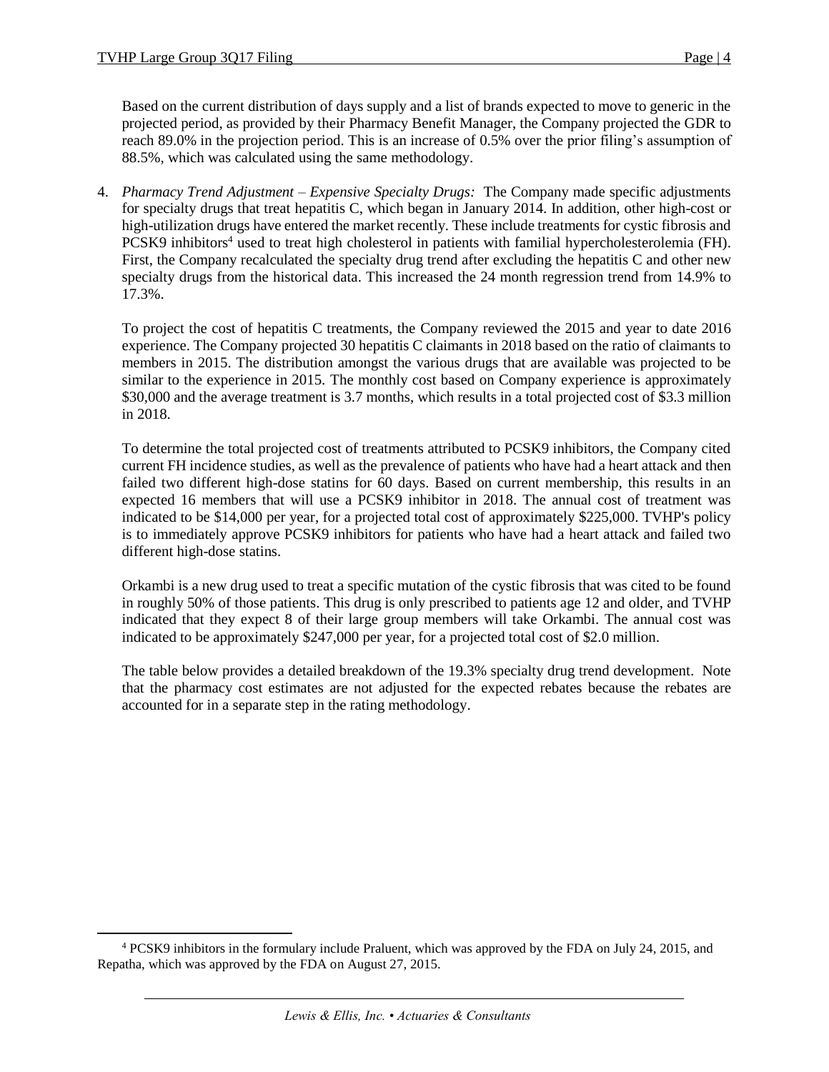$\overline{\phantom{a}}$ 

Based on the current distribution of days supply and a list of brands expected to move to generic in the projected period, as provided by their Pharmacy Benefit Manager, the Company projected the GDR to reach 89.0% in the projection period. This is an increase of 0.5% over the prior filing's assumption of 88.5%, which was calculated using the same methodology.

4. *Pharmacy Trend Adjustment – Expensive Specialty Drugs:* The Company made specific adjustments for specialty drugs that treat hepatitis C, which began in January 2014. In addition, other high-cost or high-utilization drugs have entered the market recently. These include treatments for cystic fibrosis and PCSK9 inhibitors<sup>4</sup> used to treat high cholesterol in patients with familial hypercholesterolemia (FH). First, the Company recalculated the specialty drug trend after excluding the hepatitis C and other new specialty drugs from the historical data. This increased the 24 month regression trend from 14.9% to 17.3%.

To project the cost of hepatitis C treatments, the Company reviewed the 2015 and year to date 2016 experience. The Company projected 30 hepatitis C claimants in 2018 based on the ratio of claimants to members in 2015. The distribution amongst the various drugs that are available was projected to be similar to the experience in 2015. The monthly cost based on Company experience is approximately \$30,000 and the average treatment is 3.7 months, which results in a total projected cost of \$3.3 million in 2018.

To determine the total projected cost of treatments attributed to PCSK9 inhibitors, the Company cited current FH incidence studies, as well as the prevalence of patients who have had a heart attack and then failed two different high-dose statins for 60 days. Based on current membership, this results in an expected 16 members that will use a PCSK9 inhibitor in 2018. The annual cost of treatment was indicated to be \$14,000 per year, for a projected total cost of approximately \$225,000. TVHP's policy is to immediately approve PCSK9 inhibitors for patients who have had a heart attack and failed two different high-dose statins.

Orkambi is a new drug used to treat a specific mutation of the cystic fibrosis that was cited to be found in roughly 50% of those patients. This drug is only prescribed to patients age 12 and older, and TVHP indicated that they expect 8 of their large group members will take Orkambi. The annual cost was indicated to be approximately \$247,000 per year, for a projected total cost of \$2.0 million.

The table below provides a detailed breakdown of the 19.3% specialty drug trend development. Note that the pharmacy cost estimates are not adjusted for the expected rebates because the rebates are accounted for in a separate step in the rating methodology.

<sup>4</sup> PCSK9 inhibitors in the formulary include Praluent, which was approved by the FDA on July 24, 2015, and Repatha, which was approved by the FDA on August 27, 2015.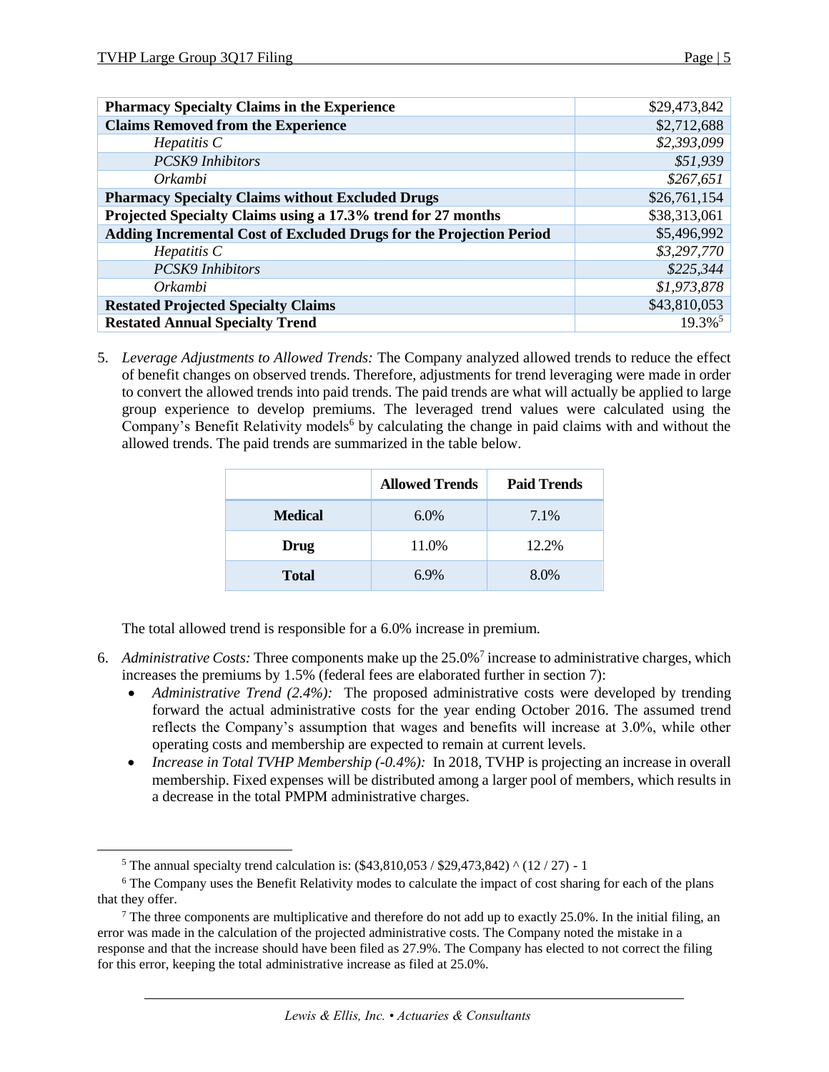$\overline{\phantom{a}}$ 

| <b>Pharmacy Specialty Claims in the Experience</b>                  | \$29,473,842          |
|---------------------------------------------------------------------|-----------------------|
| <b>Claims Removed from the Experience</b>                           | \$2,712,688           |
| $He$ <i>patitis</i> $C$                                             | \$2,393,099           |
| <b>PCSK9</b> Inhibitors                                             | \$51,939              |
| Orkambi                                                             | \$267,651             |
| <b>Pharmacy Specialty Claims without Excluded Drugs</b>             | \$26,761,154          |
| Projected Specialty Claims using a 17.3% trend for 27 months        | \$38,313,061          |
| Adding Incremental Cost of Excluded Drugs for the Projection Period | \$5,496,992           |
| $He$ <i>patitis</i> $C$                                             | \$3,297,770           |
| <b>PCSK9</b> Inhibitors                                             | \$225,344             |
| Orkambi                                                             | \$1,973,878           |
| <b>Restated Projected Specialty Claims</b>                          | \$43,810,053          |
| <b>Restated Annual Specialty Trend</b>                              | $19.3\%$ <sup>5</sup> |

5. *Leverage Adjustments to Allowed Trends:* The Company analyzed allowed trends to reduce the effect of benefit changes on observed trends. Therefore, adjustments for trend leveraging were made in order to convert the allowed trends into paid trends. The paid trends are what will actually be applied to large group experience to develop premiums. The leveraged trend values were calculated using the Company's Benefit Relativity models<sup>6</sup> by calculating the change in paid claims with and without the allowed trends. The paid trends are summarized in the table below.

|                | <b>Allowed Trends</b> | <b>Paid Trends</b> |
|----------------|-----------------------|--------------------|
| <b>Medical</b> | $6.0\%$               | 7.1%               |
| Drug           | 11.0%                 | 12.2%              |
| <b>Total</b>   | 6.9%                  | 8.0%               |

The total allowed trend is responsible for a 6.0% increase in premium.

- 6. *Administrative Costs:* Three components make up the 25.0%<sup>7</sup> increase to administrative charges, which increases the premiums by 1.5% (federal fees are elaborated further in section 7):
	- *Administrative Trend (2.4%):* The proposed administrative costs were developed by trending forward the actual administrative costs for the year ending October 2016. The assumed trend reflects the Company's assumption that wages and benefits will increase at 3.0%, while other operating costs and membership are expected to remain at current levels.
	- *Increase in Total TVHP Membership (-0.4%)*: In 2018, TVHP is projecting an increase in overall membership. Fixed expenses will be distributed among a larger pool of members, which results in a decrease in the total PMPM administrative charges.

<sup>&</sup>lt;sup>5</sup> The annual specialty trend calculation is:  $(\$43,810,053 / \$29,473,842)$  ^ (12 / 27) - 1

<sup>&</sup>lt;sup>6</sup> The Company uses the Benefit Relativity modes to calculate the impact of cost sharing for each of the plans that they offer.

<sup>&</sup>lt;sup>7</sup> The three components are multiplicative and therefore do not add up to exactly 25.0%. In the initial filing, an error was made in the calculation of the projected administrative costs. The Company noted the mistake in a response and that the increase should have been filed as 27.9%. The Company has elected to not correct the filing for this error, keeping the total administrative increase as filed at 25.0%.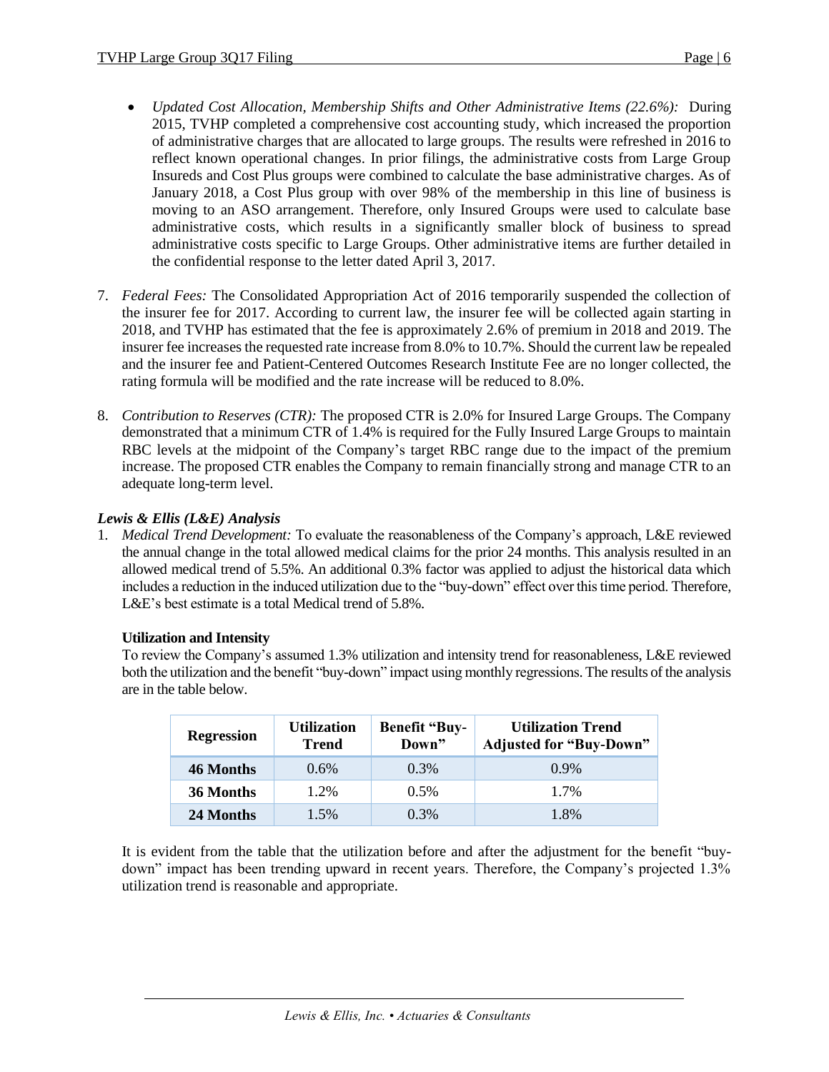- *Updated Cost Allocation, Membership Shifts and Other Administrative Items (22.6%):* During 2015, TVHP completed a comprehensive cost accounting study, which increased the proportion of administrative charges that are allocated to large groups. The results were refreshed in 2016 to reflect known operational changes. In prior filings, the administrative costs from Large Group Insureds and Cost Plus groups were combined to calculate the base administrative charges. As of January 2018, a Cost Plus group with over 98% of the membership in this line of business is moving to an ASO arrangement. Therefore, only Insured Groups were used to calculate base administrative costs, which results in a significantly smaller block of business to spread administrative costs specific to Large Groups. Other administrative items are further detailed in the confidential response to the letter dated April 3, 2017.
- 7. *Federal Fees:* The Consolidated Appropriation Act of 2016 temporarily suspended the collection of the insurer fee for 2017. According to current law, the insurer fee will be collected again starting in 2018, and TVHP has estimated that the fee is approximately 2.6% of premium in 2018 and 2019. The insurer fee increases the requested rate increase from 8.0% to 10.7%. Should the current law be repealed and the insurer fee and Patient-Centered Outcomes Research Institute Fee are no longer collected, the rating formula will be modified and the rate increase will be reduced to 8.0%.
- 8. *Contribution to Reserves (CTR):* The proposed CTR is 2.0% for Insured Large Groups. The Company demonstrated that a minimum CTR of 1.4% is required for the Fully Insured Large Groups to maintain RBC levels at the midpoint of the Company's target RBC range due to the impact of the premium increase. The proposed CTR enables the Company to remain financially strong and manage CTR to an adequate long-term level.

# *Lewis & Ellis (L&E) Analysis*

1. *Medical Trend Development:* To evaluate the reasonableness of the Company's approach, L&E reviewed the annual change in the total allowed medical claims for the prior 24 months. This analysis resulted in an allowed medical trend of 5.5%. An additional 0.3% factor was applied to adjust the historical data which includes a reduction in the induced utilization due to the "buy-down" effect over this time period. Therefore, L&E's best estimate is a total Medical trend of 5.8%.

# **Utilization and Intensity**

To review the Company's assumed 1.3% utilization and intensity trend for reasonableness, L&E reviewed both the utilization and the benefit "buy-down" impact using monthly regressions. The results of the analysis are in the table below.

| <b>Regression</b> | <b>Utilization</b><br><b>Trend</b> | <b>Benefit "Buy-</b><br>Down" | <b>Utilization Trend</b><br><b>Adjusted for "Buy-Down"</b> |
|-------------------|------------------------------------|-------------------------------|------------------------------------------------------------|
| 46 Months         | 0.6%                               | 0.3%                          | $0.9\%$                                                    |
| 36 Months         | 1.2%                               | 0.5%                          | 1.7%                                                       |
| 24 Months         | $1.5\%$                            | $0.3\%$                       | 1.8%                                                       |

It is evident from the table that the utilization before and after the adjustment for the benefit "buydown" impact has been trending upward in recent years. Therefore, the Company's projected 1.3% utilization trend is reasonable and appropriate.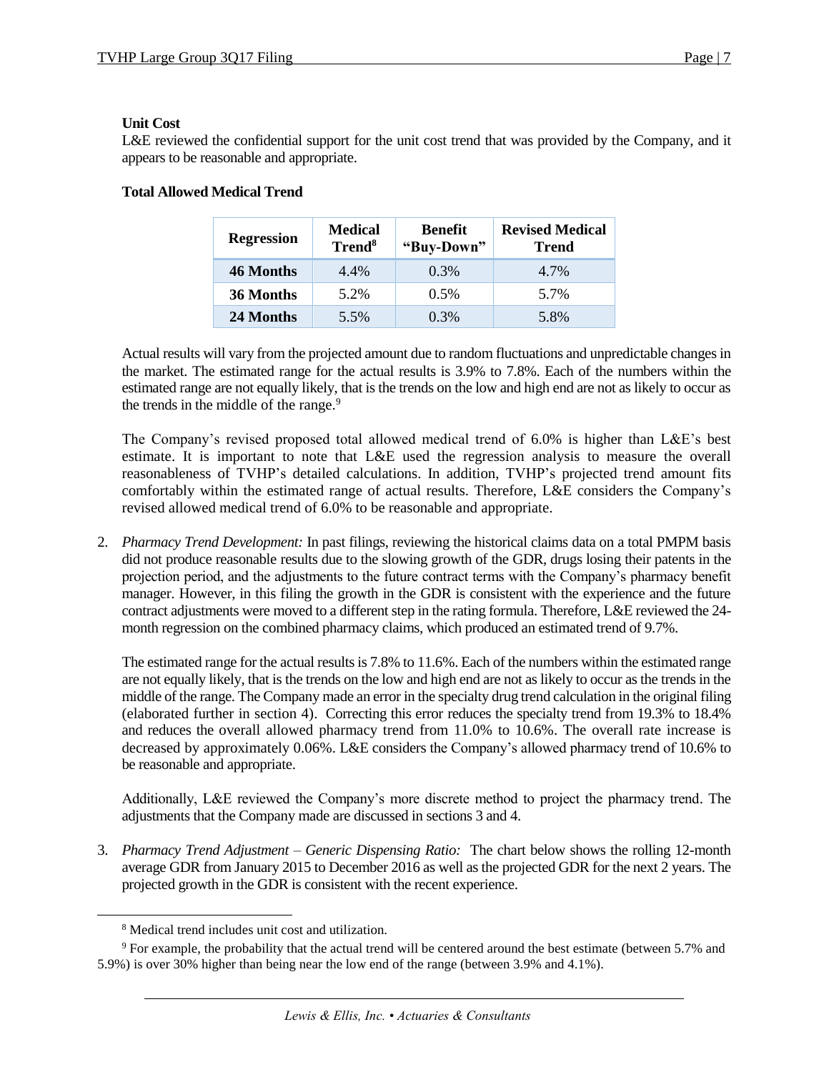# **Unit Cost**

L&E reviewed the confidential support for the unit cost trend that was provided by the Company, and it appears to be reasonable and appropriate.

| <b>Regression</b> | <b>Medical</b><br>Trend <sup>8</sup> | <b>Benefit</b><br>"Buy-Down" | <b>Revised Medical</b><br><b>Trend</b> |
|-------------------|--------------------------------------|------------------------------|----------------------------------------|
| 46 Months         | 4.4%                                 | 0.3%                         | 4.7%                                   |
| 36 Months         | 5.2%                                 | 0.5%                         | 5.7%                                   |
| 24 Months         | 5.5%                                 | 0.3%                         | 5.8%                                   |

# **Total Allowed Medical Trend**

Actual results will vary from the projected amount due to random fluctuations and unpredictable changes in the market. The estimated range for the actual results is 3.9% to 7.8%. Each of the numbers within the estimated range are not equally likely, that is the trends on the low and high end are not as likely to occur as the trends in the middle of the range.<sup>9</sup>

The Company's revised proposed total allowed medical trend of 6.0% is higher than L&E's best estimate. It is important to note that L&E used the regression analysis to measure the overall reasonableness of TVHP's detailed calculations. In addition, TVHP's projected trend amount fits comfortably within the estimated range of actual results. Therefore, L&E considers the Company's revised allowed medical trend of 6.0% to be reasonable and appropriate.

2. *Pharmacy Trend Development:* In past filings, reviewing the historical claims data on a total PMPM basis did not produce reasonable results due to the slowing growth of the GDR, drugs losing their patents in the projection period, and the adjustments to the future contract terms with the Company's pharmacy benefit manager. However, in this filing the growth in the GDR is consistent with the experience and the future contract adjustments were moved to a different step in the rating formula. Therefore, L&E reviewed the 24 month regression on the combined pharmacy claims, which produced an estimated trend of 9.7%.

The estimated range for the actual results is 7.8% to 11.6%. Each of the numbers within the estimated range are not equally likely, that is the trends on the low and high end are not as likely to occur as the trends in the middle of the range. The Company made an error in the specialty drug trend calculation in the original filing (elaborated further in section 4). Correcting this error reduces the specialty trend from 19.3% to 18.4% and reduces the overall allowed pharmacy trend from 11.0% to 10.6%. The overall rate increase is decreased by approximately 0.06%. L&E considers the Company's allowed pharmacy trend of 10.6% to be reasonable and appropriate.

Additionally, L&E reviewed the Company's more discrete method to project the pharmacy trend. The adjustments that the Company made are discussed in sections 3 and 4.

3. *Pharmacy Trend Adjustment – Generic Dispensing Ratio:* The chart below shows the rolling 12-month average GDR from January 2015 to December 2016 as well as the projected GDR for the next 2 years. The projected growth in the GDR is consistent with the recent experience.

 $\overline{\phantom{a}}$ 

<sup>8</sup> Medical trend includes unit cost and utilization.

 $9$  For example, the probability that the actual trend will be centered around the best estimate (between 5.7% and 5.9%) is over 30% higher than being near the low end of the range (between 3.9% and 4.1%).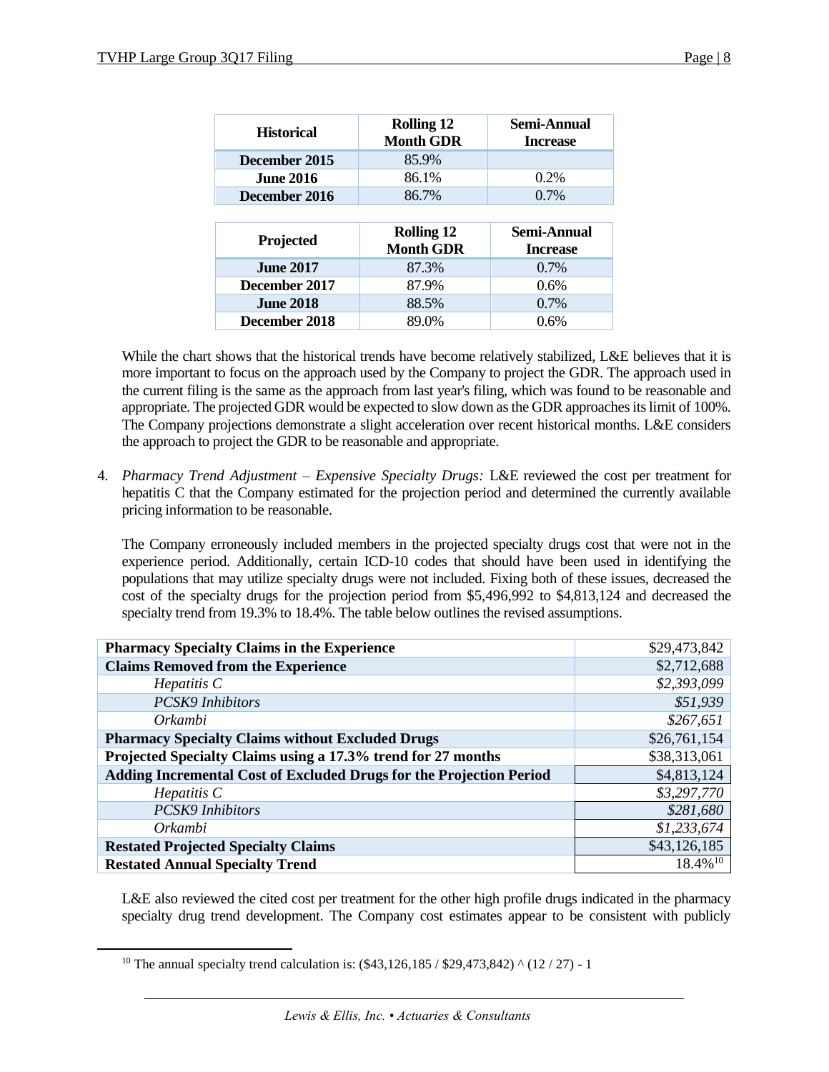| <b>Historical</b> | <b>Rolling 12</b><br><b>Month GDR</b> | Semi-Annual<br><b>Increase</b> |
|-------------------|---------------------------------------|--------------------------------|
| December 2015     | 85.9%                                 |                                |
| <b>June 2016</b>  | 86.1%                                 | 0.2%                           |
| December 2016     | 86.7%                                 | $0.7\%$                        |
|                   |                                       |                                |
|                   |                                       |                                |
| <b>Projected</b>  | <b>Rolling 12</b><br><b>Month GDR</b> | Semi-Annual<br><b>Increase</b> |
| <b>June 2017</b>  | 87.3%                                 | $0.7\%$                        |
| December 2017     | 87.9%                                 | 0.6%                           |
| <b>June 2018</b>  | 88.5%                                 | $0.7\%$                        |

While the chart shows that the historical trends have become relatively stabilized, L&E believes that it is more important to focus on the approach used by the Company to project the GDR. The approach used in the current filing is the same as the approach from last year's filing, which was found to be reasonable and appropriate. The projected GDR would be expected to slow down as the GDR approaches its limit of 100%. The Company projections demonstrate a slight acceleration over recent historical months. L&E considers the approach to project the GDR to be reasonable and appropriate.

4. *Pharmacy Trend Adjustment – Expensive Specialty Drugs:* L&E reviewed the cost per treatment for hepatitis C that the Company estimated for the projection period and determined the currently available pricing information to be reasonable.

The Company erroneously included members in the projected specialty drugs cost that were not in the experience period. Additionally, certain ICD-10 codes that should have been used in identifying the populations that may utilize specialty drugs were not included. Fixing both of these issues, decreased the cost of the specialty drugs for the projection period from \$5,496,992 to \$4,813,124 and decreased the specialty trend from 19.3% to 18.4%. The table below outlines the revised assumptions.

| <b>Pharmacy Specialty Claims in the Experience</b>                  | \$29,473,842           |
|---------------------------------------------------------------------|------------------------|
| <b>Claims Removed from the Experience</b>                           | \$2,712,688            |
| $He$ <i>patitis</i> $C$                                             | \$2,393,099            |
| <b>PCSK9</b> Inhibitors                                             | \$51,939               |
| Orkambi                                                             | \$267,651              |
| <b>Pharmacy Specialty Claims without Excluded Drugs</b>             | \$26,761,154           |
| Projected Specialty Claims using a 17.3% trend for 27 months        | \$38,313,061           |
| Adding Incremental Cost of Excluded Drugs for the Projection Period | \$4,813,124            |
| $He$ <i>patitis</i> $C$                                             | \$3,297,770            |
| <b>PCSK9</b> Inhibitors                                             | \$281,680              |
| Orkambi                                                             | \$1,233,674            |
| <b>Restated Projected Specialty Claims</b>                          | \$43,126,185           |
| <b>Restated Annual Specialty Trend</b>                              | $18.4\%$ <sup>10</sup> |

L&E also reviewed the cited cost per treatment for the other high profile drugs indicated in the pharmacy specialty drug trend development. The Company cost estimates appear to be consistent with publicly

 $\overline{\phantom{a}}$ 

<sup>&</sup>lt;sup>10</sup> The annual specialty trend calculation is:  $(\$43,126,185 / \$29,473,842)$  ^ (12 / 27) - 1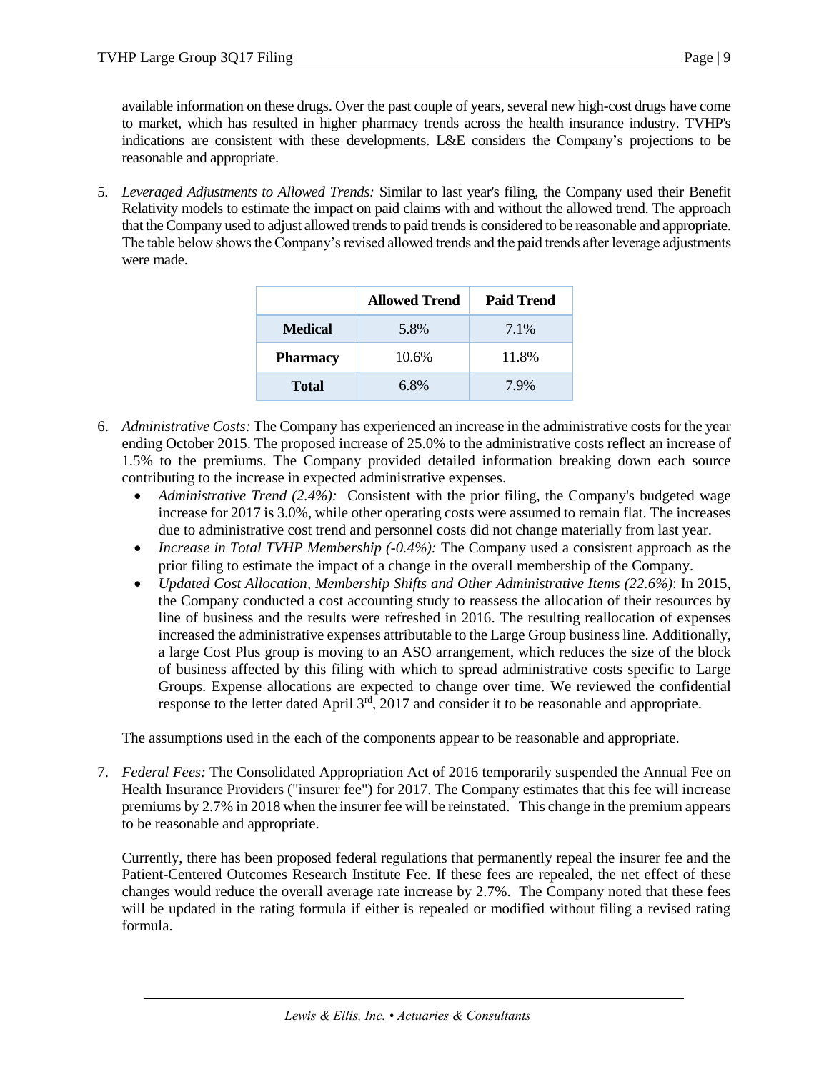available information on these drugs. Over the past couple of years, several new high-cost drugs have come to market, which has resulted in higher pharmacy trends across the health insurance industry. TVHP's indications are consistent with these developments. L&E considers the Company's projections to be reasonable and appropriate.

5. *Leveraged Adjustments to Allowed Trends:* Similar to last year's filing, the Company used their Benefit Relativity models to estimate the impact on paid claims with and without the allowed trend. The approach that the Company used to adjust allowed trends to paid trends is considered to be reasonable and appropriate. The table below shows the Company's revised allowed trends and the paid trends after leverage adjustments were made.

|                 | <b>Allowed Trend</b> | <b>Paid Trend</b> |
|-----------------|----------------------|-------------------|
| <b>Medical</b>  | 5.8%                 | 7.1%              |
| <b>Pharmacy</b> | 10.6%                | 11.8%             |
| <b>Total</b>    | 6.8%                 | 7.9%              |

- 6. *Administrative Costs:* The Company has experienced an increase in the administrative costs for the year ending October 2015. The proposed increase of 25.0% to the administrative costs reflect an increase of 1.5% to the premiums. The Company provided detailed information breaking down each source contributing to the increase in expected administrative expenses.
	- Administrative Trend (2.4%): Consistent with the prior filing, the Company's budgeted wage increase for 2017 is 3.0%, while other operating costs were assumed to remain flat. The increases due to administrative cost trend and personnel costs did not change materially from last year.
	- *Increase in Total TVHP Membership (-0.4%):* The Company used a consistent approach as the prior filing to estimate the impact of a change in the overall membership of the Company.
	- *Updated Cost Allocation, Membership Shifts and Other Administrative Items (22.6%)*: In 2015, the Company conducted a cost accounting study to reassess the allocation of their resources by line of business and the results were refreshed in 2016. The resulting reallocation of expenses increased the administrative expenses attributable to the Large Group business line. Additionally, a large Cost Plus group is moving to an ASO arrangement, which reduces the size of the block of business affected by this filing with which to spread administrative costs specific to Large Groups. Expense allocations are expected to change over time. We reviewed the confidential response to the letter dated April  $3<sup>rd</sup>$ , 2017 and consider it to be reasonable and appropriate.

The assumptions used in the each of the components appear to be reasonable and appropriate.

7. *Federal Fees:* The Consolidated Appropriation Act of 2016 temporarily suspended the Annual Fee on Health Insurance Providers ("insurer fee") for 2017. The Company estimates that this fee will increase premiums by 2.7% in 2018 when the insurer fee will be reinstated. This change in the premium appears to be reasonable and appropriate.

Currently, there has been proposed federal regulations that permanently repeal the insurer fee and the Patient-Centered Outcomes Research Institute Fee. If these fees are repealed, the net effect of these changes would reduce the overall average rate increase by 2.7%. The Company noted that these fees will be updated in the rating formula if either is repealed or modified without filing a revised rating formula.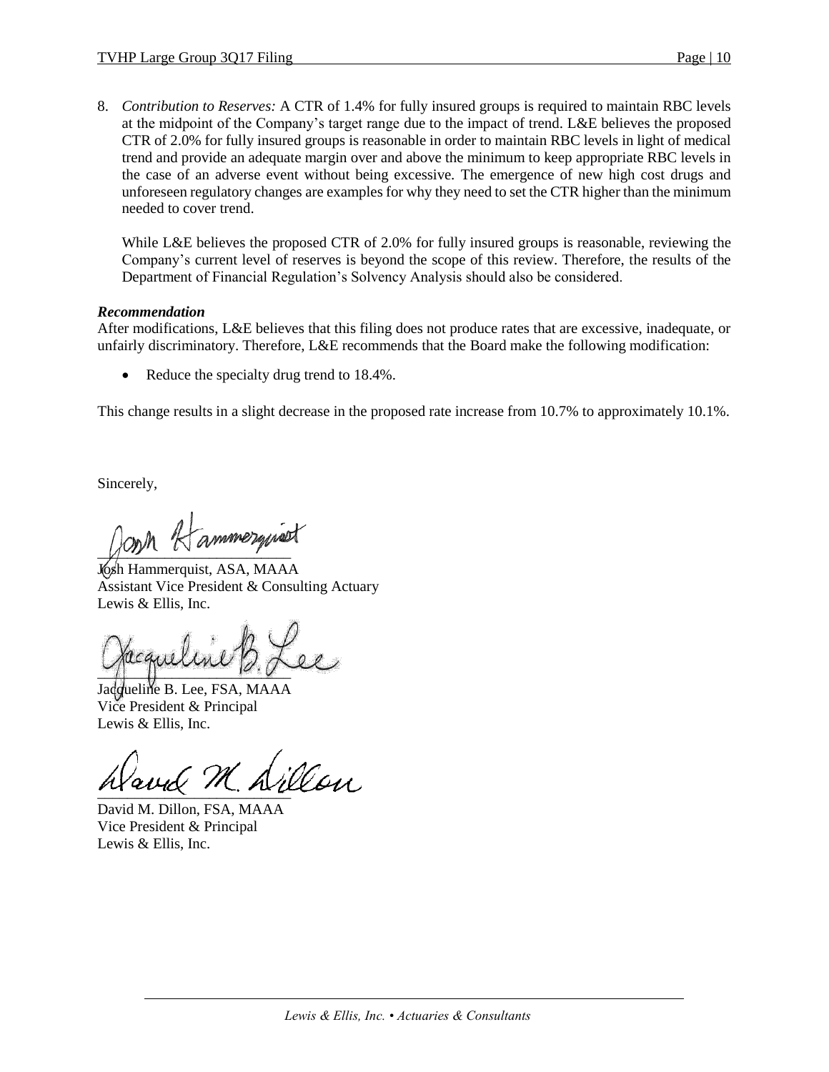8. *Contribution to Reserves:* A CTR of 1.4% for fully insured groups is required to maintain RBC levels at the midpoint of the Company's target range due to the impact of trend. L&E believes the proposed CTR of 2.0% for fully insured groups is reasonable in order to maintain RBC levels in light of medical trend and provide an adequate margin over and above the minimum to keep appropriate RBC levels in the case of an adverse event without being excessive. The emergence of new high cost drugs and unforeseen regulatory changes are examples for why they need to set the CTR higher than the minimum needed to cover trend.

While L&E believes the proposed CTR of 2.0% for fully insured groups is reasonable, reviewing the Company's current level of reserves is beyond the scope of this review. Therefore, the results of the Department of Financial Regulation's Solvency Analysis should also be considered.

### *Recommendation*

After modifications, L&E believes that this filing does not produce rates that are excessive, inadequate, or unfairly discriminatory. Therefore, L&E recommends that the Board make the following modification:

Reduce the specialty drug trend to 18.4%.

This change results in a slight decrease in the proposed rate increase from 10.7% to approximately 10.1%.

Sincerely,

 $\sqrt{m}$ 

Josh Hammerquist, ASA, MAAA Assistant Vice President & Consulting Actuary Lewis & Ellis, Inc.

 $\sim$ 

Jacqueline B. Lee, FSA, MAAA Vice President & Principal Lewis & Ellis, Inc.

 $\frac{1}{2}$ 

David M. Dillon, FSA, MAAA Vice President & Principal Lewis & Ellis, Inc.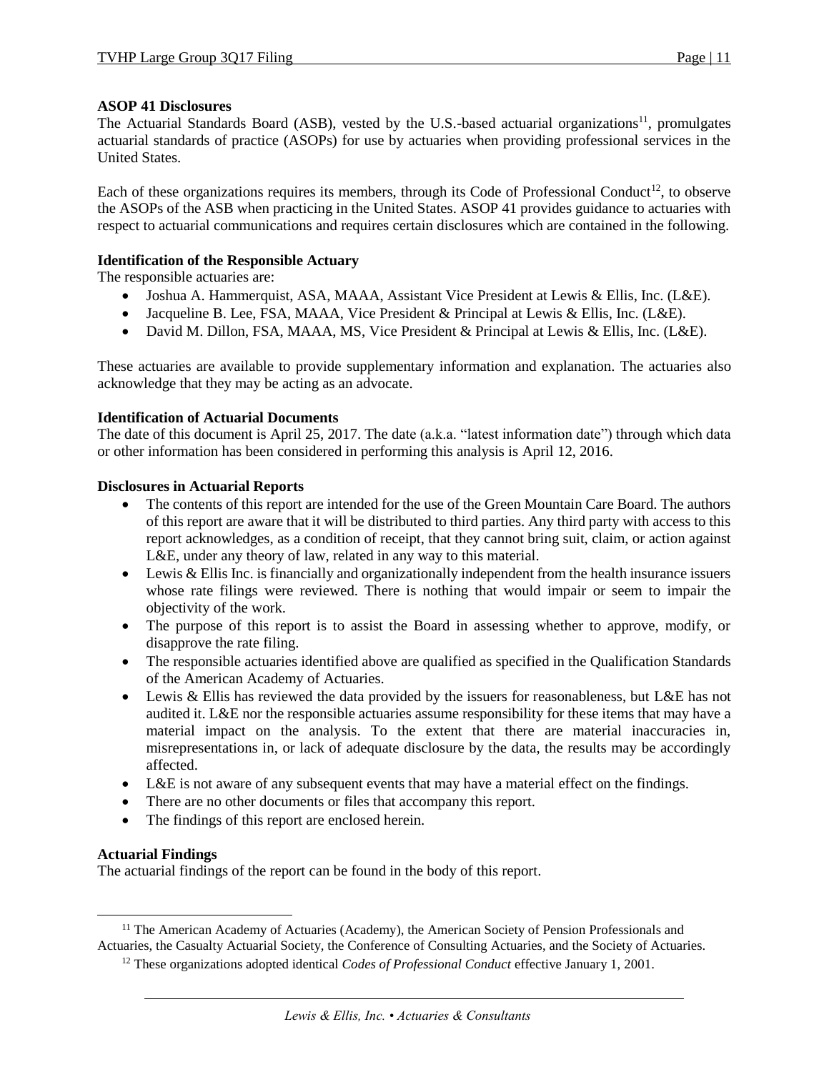# **ASOP 41 Disclosures**

The Actuarial Standards Board (ASB), vested by the U.S.-based actuarial organizations<sup>11</sup>, promulgates actuarial standards of practice (ASOPs) for use by actuaries when providing professional services in the United States.

Each of these organizations requires its members, through its Code of Professional Conduct<sup>12</sup>, to observe the ASOPs of the ASB when practicing in the United States. ASOP 41 provides guidance to actuaries with respect to actuarial communications and requires certain disclosures which are contained in the following.

### **Identification of the Responsible Actuary**

The responsible actuaries are:

- Joshua A. Hammerquist, ASA, MAAA, Assistant Vice President at Lewis & Ellis, Inc. (L&E).
- Jacqueline B. Lee, FSA, MAAA, Vice President & Principal at Lewis & Ellis, Inc. (L&E).
- David M. Dillon, FSA, MAAA, MS, Vice President & Principal at Lewis & Ellis, Inc. (L&E).

These actuaries are available to provide supplementary information and explanation. The actuaries also acknowledge that they may be acting as an advocate.

### **Identification of Actuarial Documents**

The date of this document is April 25, 2017. The date (a.k.a. "latest information date") through which data or other information has been considered in performing this analysis is April 12, 2016.

### **Disclosures in Actuarial Reports**

- The contents of this report are intended for the use of the Green Mountain Care Board. The authors of this report are aware that it will be distributed to third parties. Any third party with access to this report acknowledges, as a condition of receipt, that they cannot bring suit, claim, or action against L&E, under any theory of law, related in any way to this material.
- Lewis & Ellis Inc. is financially and organizationally independent from the health insurance issuers whose rate filings were reviewed. There is nothing that would impair or seem to impair the objectivity of the work.
- The purpose of this report is to assist the Board in assessing whether to approve, modify, or disapprove the rate filing.
- The responsible actuaries identified above are qualified as specified in the Qualification Standards of the American Academy of Actuaries.
- Lewis & Ellis has reviewed the data provided by the issuers for reasonableness, but L&E has not audited it. L&E nor the responsible actuaries assume responsibility for these items that may have a material impact on the analysis. To the extent that there are material inaccuracies in, misrepresentations in, or lack of adequate disclosure by the data, the results may be accordingly affected.
- L&E is not aware of any subsequent events that may have a material effect on the findings.
- There are no other documents or files that accompany this report.
- The findings of this report are enclosed herein.

# **Actuarial Findings**

 $\overline{\phantom{a}}$ 

The actuarial findings of the report can be found in the body of this report.

<sup>&</sup>lt;sup>11</sup> The American Academy of Actuaries (Academy), the American Society of Pension Professionals and Actuaries, the Casualty Actuarial Society, the Conference of Consulting Actuaries, and the Society of Actuaries.

<sup>12</sup> These organizations adopted identical *Codes of Professional Conduct* effective January 1, 2001.